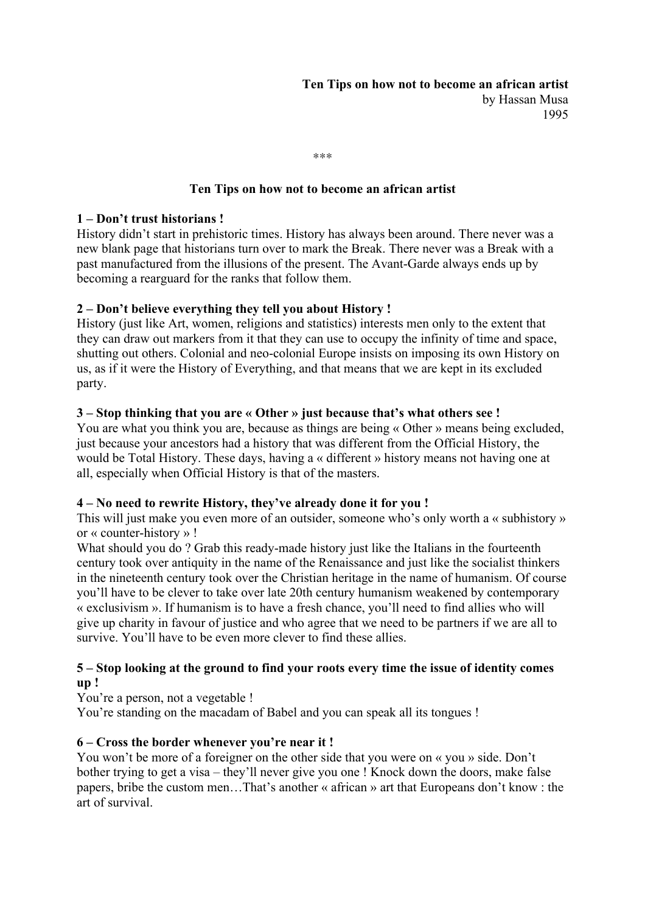\*\*\*

### **Ten Tips on how not to become an african artist**

#### **1 – Don't trust historians !**

History didn't start in prehistoric times. History has always been around. There never was a new blank page that historians turn over to mark the Break. There never was a Break with a past manufactured from the illusions of the present. The Avant-Garde always ends up by becoming a rearguard for the ranks that follow them.

### **2 – Don't believe everything they tell you about History !**

History (just like Art, women, religions and statistics) interests men only to the extent that they can draw out markers from it that they can use to occupy the infinity of time and space, shutting out others. Colonial and neo-colonial Europe insists on imposing its own History on us, as if it were the History of Everything, and that means that we are kept in its excluded party.

#### **3 – Stop thinking that you are « Other » just because that's what others see !**

You are what you think you are, because as things are being « Other » means being excluded, just because your ancestors had a history that was different from the Official History, the would be Total History. These days, having a « different » history means not having one at all, especially when Official History is that of the masters.

#### **4 – No need to rewrite History, they've already done it for you !**

This will just make you even more of an outsider, someone who's only worth a « subhistory » or « counter-history » !

What should you do ? Grab this ready-made history just like the Italians in the fourteenth century took over antiquity in the name of the Renaissance and just like the socialist thinkers in the nineteenth century took over the Christian heritage in the name of humanism. Of course you'll have to be clever to take over late 20th century humanism weakened by contemporary « exclusivism ». If humanism is to have a fresh chance, you'll need to find allies who will give up charity in favour of justice and who agree that we need to be partners if we are all to survive. You'll have to be even more clever to find these allies.

### **5 – Stop looking at the ground to find your roots every time the issue of identity comes up !**

You're a person, not a vegetable !

You're standing on the macadam of Babel and you can speak all its tongues !

#### **6 – Cross the border whenever you're near it !**

You won't be more of a foreigner on the other side that you were on « you » side. Don't bother trying to get a visa – they'll never give you one ! Knock down the doors, make false papers, bribe the custom men…That's another « african » art that Europeans don't know : the art of survival.